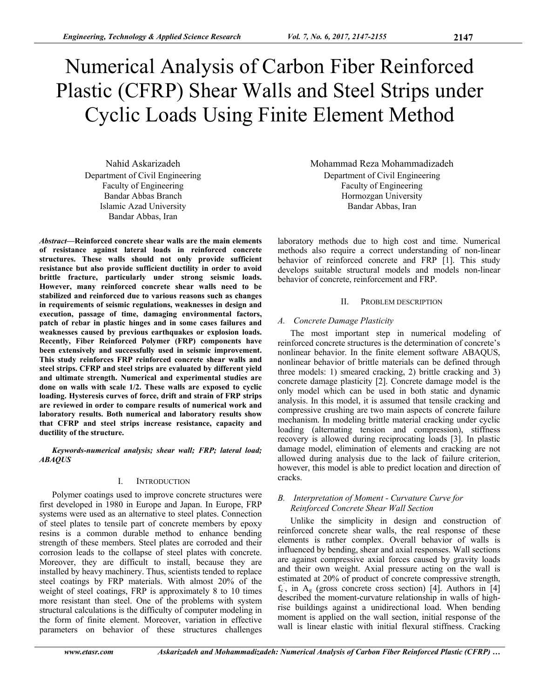# Numerical Analysis of Carbon Fiber Reinforced Plastic (CFRP) Shear Walls and Steel Strips under Cyclic Loads Using Finite Element Method

Nahid Askarizadeh Department of Civil Engineering Faculty of Engineering Bandar Abbas Branch Islamic Azad University Bandar Abbas, Iran

*Abstract***—Reinforced concrete shear walls are the main elements of resistance against lateral loads in reinforced concrete structures. These walls should not only provide sufficient resistance but also provide sufficient ductility in order to avoid brittle fracture, particularly under strong seismic loads. However, many reinforced concrete shear walls need to be stabilized and reinforced due to various reasons such as changes in requirements of seismic regulations, weaknesses in design and execution, passage of time, damaging environmental factors, patch of rebar in plastic hinges and in some cases failures and weaknesses caused by previous earthquakes or explosion loads. Recently, Fiber Reinforced Polymer (FRP) components have been extensively and successfully used in seismic improvement. This study reinforces FRP reinforced concrete shear walls and steel strips. CFRP and steel strips are evaluated by different yield and ultimate strength. Numerical and experimental studies are done on walls with scale 1/2. These walls are exposed to cyclic loading. Hysteresis curves of force, drift and strain of FRP strips are reviewed in order to compare results of numerical work and laboratory results. Both numerical and laboratory results show that CFRP and steel strips increase resistance, capacity and ductility of the structure.** 

*Keywords-numerical analysis; shear wall; FRP; lateral load; ABAQUS* 

## I. INTRODUCTION

Polymer coatings used to improve concrete structures were first developed in 1980 in Europe and Japan. In Europe, FRP systems were used as an alternative to steel plates. Connection of steel plates to tensile part of concrete members by epoxy resins is a common durable method to enhance bending strength of these members. Steel plates are corroded and their corrosion leads to the collapse of steel plates with concrete. Moreover, they are difficult to install, because they are installed by heavy machinery. Thus, scientists tended to replace steel coatings by FRP materials. With almost 20% of the weight of steel coatings, FRP is approximately 8 to 10 times more resistant than steel. One of the problems with system structural calculations is the difficulty of computer modeling in the form of finite element. Moreover, variation in effective parameters on behavior of these structures challenges

Mohammad Reza Mohammadizadeh Department of Civil Engineering Faculty of Engineering Hormozgan University Bandar Abbas, Iran

laboratory methods due to high cost and time. Numerical methods also require a correct understanding of non-linear behavior of reinforced concrete and FRP [1]. This study develops suitable structural models and models non-linear behavior of concrete, reinforcement and FRP.

## II. PROBLEM DESCRIPTION

# *A. Concrete Damage Plasticity*

The most important step in numerical modeling of reinforced concrete structures is the determination of concrete's nonlinear behavior. In the finite element software ABAQUS, nonlinear behavior of brittle materials can be defined through three models: 1) smeared cracking, 2) brittle cracking and 3) concrete damage plasticity [2]. Concrete damage model is the only model which can be used in both static and dynamic analysis. In this model, it is assumed that tensile cracking and compressive crushing are two main aspects of concrete failure mechanism. In modeling brittle material cracking under cyclic loading (alternating tension and compression), stiffness recovery is allowed during reciprocating loads [3]. In plastic damage model, elimination of elements and cracking are not allowed during analysis due to the lack of failure criterion, however, this model is able to predict location and direction of cracks.

# *B. Interpretation of Moment - Curvature Curve for Reinforced Concrete Shear Wall Section*

Unlike the simplicity in design and construction of reinforced concrete shear walls, the real response of these elements is rather complex. Overall behavior of walls is influenced by bending, shear and axial responses. Wall sections are against compressive axial forces caused by gravity loads and their own weight. Axial pressure acting on the wall is estimated at 20% of product of concrete compressive strength,  $f_c$ , in  $A_g$  (gross concrete cross section) [4]. Authors in [4] described the moment-curvature relationship in walls of highrise buildings against a unidirectional load. When bending moment is applied on the wall section, initial response of the wall is linear elastic with initial flexural stiffness. Cracking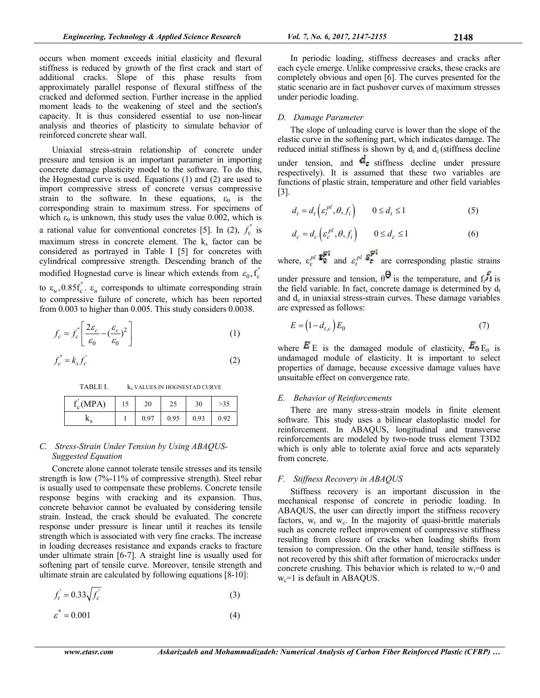occurs when moment exceeds initial elasticity and flexural stiffness is reduced by growth of the first crack and start of additional cracks. Slope of this phase results from approximately parallel response of flexural stiffness of the cracked and deformed section. Further increase in the applied moment leads to the weakening of steel and the section's capacity. It is thus considered essential to use non-linear analysis and theories of plasticity to simulate behavior of reinforced concrete shear wall.

Uniaxial stress-strain relationship of concrete under pressure and tension is an important parameter in importing concrete damage plasticity model to the software. To do this, the Hognestad curve is used. Equations (1) and (2) are used to import compressive stress of concrete versus compressive strain to the software. In these equations,  $\varepsilon_0$  is the corresponding strain to maximum stress. For specimens of which  $\varepsilon_0$  is unknown, this study uses the value 0.002, which is a rational value for conventional concretes [5]. In (2),  $f_c^{\dagger}$  is maximum stress in concrete element. The  $k<sub>s</sub>$  factor can be considered as portrayed in Table I [5] for concretes with cylindrical compressive strength. Descending branch of the modified Hognestad curve is linear which extends from  $\varepsilon_0$ ,  $f_c^{\dagger}$ to  $\varepsilon_u$ ,  $0.85f_c^*$ .  $\varepsilon_u$  corresponds to ultimate corresponding strain to compressive failure of concrete, which has been reported from 0.003 to higher than 0.005. This study considers 0.0038.

$$
f_c = f_c^{\prime} \left[ \frac{2\varepsilon_c}{\varepsilon_0} - \left( \frac{\varepsilon_c}{\varepsilon_0} \right)^2 \right] \tag{1}
$$

$$
f_c^{"}=k_s f_c^{'}
$$
 (2)

TABLE I.  $k_s$  VALUES IN HOGNESTAD CURVE

| $f_c(MPA)$ | 20   |      | 30   |      |
|------------|------|------|------|------|
|            | 0.97 | 0.95 | 0.93 | 0.92 |

# *C. Stress-Strain Under Tension by Using ABAQUS-Suggested Equation*

Concrete alone cannot tolerate tensile stresses and its tensile strength is low (7%-11% of compressive strength). Steel rebar is usually used to compensate these problems. Concrete tensile response begins with cracking and its expansion. Thus, concrete behavior cannot be evaluated by considering tensile strain. Instead, the crack should be evaluated. The concrete response under pressure is linear until it reaches its tensile strength which is associated with very fine cracks. The increase in loading decreases resistance and expands cracks to fracture under ultimate strain [6-7]. A straight line is usually used for softening part of tensile curve. Moreover, tensile strength and ultimate strain are calculated by following equations [8-10]:

$$
f_t' = 0.33\sqrt{f_c'}\tag{3}
$$

$$
\varepsilon^* = 0.001\tag{4}
$$

In periodic loading, stiffness decreases and cracks after each cycle emerge. Unlike compressive cracks, these cracks are completely obvious and open [6]. The curves presented for the static scenario are in fact pushover curves of maximum stresses under periodic loading.

# *D. Damage Parameter*

The slope of unloading curve is lower than the slope of the elastic curve in the softening part, which indicates damage. The reduced initial stiffness is shown by  $d_t$  and  $d_c$  (stiffness decline under tension, and  $d_e$  stiffness decline under pressure respectively). It is assumed that these two variables are functions of plastic strain, temperature and other field variables  $[3]$ .

$$
d_t = d_t \left( \varepsilon_t^{pl}, \theta, f_i \right) \qquad 0 \le d_t \le 1 \tag{5}
$$

$$
d_c = d_c \left( \varepsilon_c^{pl}, \theta, f_i \right) \qquad 0 \le d_c \le 1 \tag{6}
$$

where,  $\varepsilon_c^{pl}$  **F**<sub>0</sub><sup>*n*</sup> and  $\varepsilon_t^{pl}$  **F**<sub>2</sub><sup>*n*</sup><sub>**f**<sub>2</sub><sup>*n*</sup></sup> are corresponding plastic strains</sub> under pressure and tension,  $\theta^{\theta}$  is the temperature, and  $f_i f_j$  is the field variable. In fact, concrete damage is determined by  $d_t$ and  $d_c$  in uniaxial stress-strain curves. These damage variables are expressed as follows:

$$
E = (1 - d_{t,c})E_0 \tag{7}
$$

where  $\vec{E}$  E is the damaged module of elasticity,  $\vec{E}_0$  E<sub>0</sub> is undamaged module of elasticity. It is important to select properties of damage, because excessive damage values have unsuitable effect on convergence rate.

# *E. Behavior of Reinforcements*

There are many stress-strain models in finite element software. This study uses a bilinear elastoplastic model for reinforcement. In ABAQUS, longitudinal and transverse reinforcements are modeled by two-node truss element T3D2 which is only able to tolerate axial force and acts separately from concrete.

# *F. Stiffness Recovery in ABAQUS*

Stiffness recovery is an important discussion in the mechanical response of concrete in periodic loading. In ABAQUS, the user can directly import the stiffness recovery factors,  $w_t$  and  $w_c$ . In the majority of quasi-brittle materials such as concrete reflect improvement of compressive stiffness resulting from closure of cracks when loading shifts from tension to compression. On the other hand, tensile stiffness is not recovered by this shift after formation of microcracks under concrete crushing. This behavior which is related to  $w_t=0$  and  $w_c$ =1 is default in ABAQUS.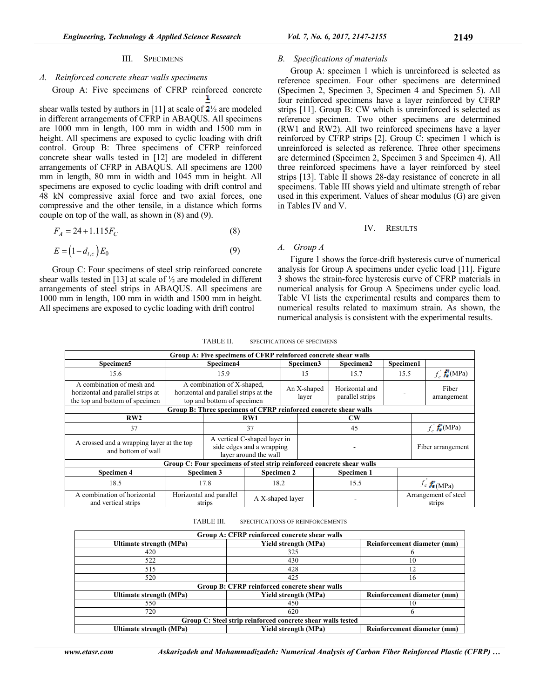#### III. SPECIMENS

# *A. Reinforced concrete shear walls specimens*

#### Group A: Five specimens of CFRP reinforced concrete J,

shear walls tested by authors in [11] at scale of  $2\frac{1}{2}$  are modeled in different arrangements of CFRP in ABAQUS. All specimens are 1000 mm in length, 100 mm in width and 1500 mm in height. All specimens are exposed to cyclic loading with drift control. Group B: Three specimens of CFRP reinforced concrete shear walls tested in [12] are modeled in different arrangements of CFRP in ABAQUS. All specimens are 1200 mm in length, 80 mm in width and 1045 mm in height. All specimens are exposed to cyclic loading with drift control and 48 kN compressive axial force and two axial forces, one compressive and the other tensile, in a distance which forms couple on top of the wall, as shown in (8) and (9).

$$
F_A = 24 + 1.115 F_C \tag{8}
$$

$$
E = (1 - d_{t,c})E_0 \tag{9}
$$

Group C: Four specimens of steel strip reinforced concrete shear walls tested in [13] at scale of ½ are modeled in different arrangements of steel strips in ABAQUS. All specimens are 1000 mm in length, 100 mm in width and 1500 mm in height. All specimens are exposed to cyclic loading with drift control

### *B. Specifications of materials*

Group A: specimen 1 which is unreinforced is selected as reference specimen. Four other specimens are determined (Specimen 2, Specimen 3, Specimen 4 and Specimen 5). All four reinforced specimens have a layer reinforced by CFRP strips [11]. Group B: CW which is unreinforced is selected as reference specimen. Two other specimens are determined (RW1 and RW2). All two reinforced specimens have a layer reinforced by CFRP strips [2]. Group C: specimen 1 which is unreinforced is selected as reference. Three other specimens are determined (Specimen 2, Specimen 3 and Specimen 4). All three reinforced specimens have a layer reinforced by steel strips [13]. Table II shows 28-day resistance of concrete in all specimens. Table III shows yield and ultimate strength of rebar used in this experiment. Values of shear modulus (G) are given in Tables IV and V.

#### IV. RESULTS

## *A. Group A*

Figure 1 shows the force-drift hysteresis curve of numerical analysis for Group A specimens under cyclic load [11]. Figure 3 shows the strain-force hysteresis curve of CFRP materials in numerical analysis for Group A Specimens under cyclic load. Table VI lists the experimental results and compares them to numerical results related to maximum strain. As shown, the numerical analysis is consistent with the experimental results.

| TABLE II. | SPECIFICATIONS OF SPECIMENS |
|-----------|-----------------------------|
|-----------|-----------------------------|

|                                                                                                  |                                                                                                   |                                                                                    |                  |                        |                      | Group A: Five specimens of CFRP reinforced concrete shear walls        |                                |           |                               |
|--------------------------------------------------------------------------------------------------|---------------------------------------------------------------------------------------------------|------------------------------------------------------------------------------------|------------------|------------------------|----------------------|------------------------------------------------------------------------|--------------------------------|-----------|-------------------------------|
| Specimen5                                                                                        | Specimen4                                                                                         |                                                                                    |                  |                        | Specimen3            | Specimen2                                                              |                                | Specimen1 |                               |
| 15.6                                                                                             |                                                                                                   | 15.9                                                                               |                  |                        | 15                   | 15.7                                                                   |                                | 15.5      | $f_c$ $\frac{1}{\hbar}$ (MPa) |
| A combination of mesh and<br>horizontal and parallel strips at<br>the top and bottom of specimen | A combination of X-shaped,<br>horizontal and parallel strips at the<br>top and bottom of specimen |                                                                                    |                  |                        | An X-shaped<br>layer | Horizontal and<br>parallel strips                                      |                                |           | Fiber<br>arrangement          |
| Group B: Three specimens of CFRP reinforced concrete shear walls                                 |                                                                                                   |                                                                                    |                  |                        |                      |                                                                        |                                |           |                               |
| RW2                                                                                              |                                                                                                   | RW1                                                                                |                  | $\mathbf{C}\mathbf{W}$ |                      |                                                                        |                                |           |                               |
| 37                                                                                               |                                                                                                   | 37                                                                                 |                  |                        | 45                   |                                                                        |                                |           | $f_c$ $f_c$ (MPa)             |
| A crossed and a wrapping layer at the top<br>and bottom of wall                                  |                                                                                                   | A vertical C-shaped layer in<br>side edges and a wrapping<br>layer around the wall |                  |                        |                      |                                                                        |                                |           | Fiber arrangement             |
|                                                                                                  |                                                                                                   |                                                                                    |                  |                        |                      | Group C: Four specimens of steel strip reinforced concrete shear walls |                                |           |                               |
| Specimen 4                                                                                       |                                                                                                   | Specimen 3                                                                         | Specimen 2       |                        |                      | Specimen 1                                                             |                                |           |                               |
| 18.5                                                                                             |                                                                                                   | 17.8                                                                               |                  | 15.5<br>18.2           |                      |                                                                        | $f_c f_c^{\prime}$ (MPa)       |           |                               |
| A combination of horizontal<br>and vertical strips                                               |                                                                                                   | Horizontal and parallel<br>strips                                                  | A X-shaped layer |                        |                      |                                                                        | Arrangement of steel<br>strips |           |                               |

TABLE III. SPECIFICATIONS OF REINFORCEMENTS

| Group A: CFRP reinforced concrete shear walls               |                      |                             |  |  |  |  |  |
|-------------------------------------------------------------|----------------------|-----------------------------|--|--|--|--|--|
| Ultimate strength (MPa)                                     | Yield strength (MPa) | Reinforcement diameter (mm) |  |  |  |  |  |
| 420                                                         | 325                  |                             |  |  |  |  |  |
| 522                                                         | 430                  | 10                          |  |  |  |  |  |
| 515                                                         | 428                  | 12                          |  |  |  |  |  |
| 520                                                         | 425                  | 16                          |  |  |  |  |  |
| Group B: CFRP reinforced concrete shear walls               |                      |                             |  |  |  |  |  |
| Ultimate strength (MPa)                                     | Yield strength (MPa) | Reinforcement diameter (mm) |  |  |  |  |  |
| 550                                                         | 450                  | 10                          |  |  |  |  |  |
| 720                                                         | 620                  |                             |  |  |  |  |  |
| Group C: Steel strip reinforced concrete shear walls tested |                      |                             |  |  |  |  |  |
| Ultimate strength (MPa)                                     | Yield strength (MPa) | Reinforcement diameter (mm) |  |  |  |  |  |

*www.etasr.com Askarizadeh and Mohammadizadeh: Numerical Analysis of Carbon Fiber Reinforced Plastic (CFRP) …*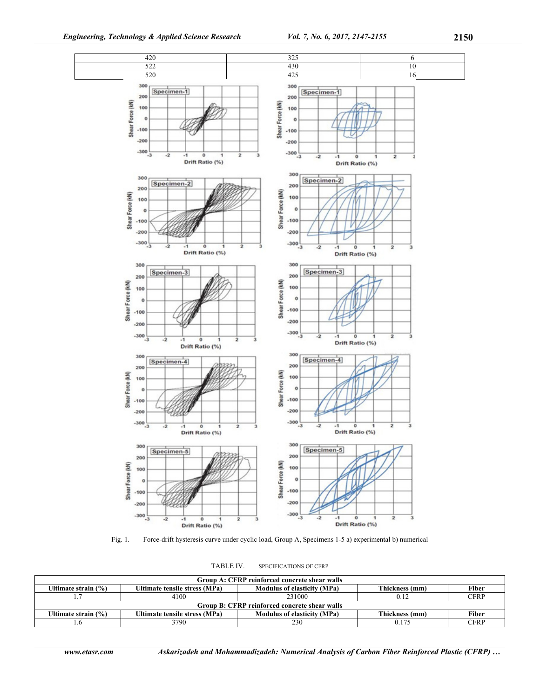

Fig. 1. Force-drift hysteresis curve under cyclic load, Group A, Specimens 1-5 a) experimental b) numerical

| Group A: CFRP reinforced concrete shear walls |                                               |                                    |                |              |  |  |  |  |  |  |
|-----------------------------------------------|-----------------------------------------------|------------------------------------|----------------|--------------|--|--|--|--|--|--|
| Ultimate strain (%)                           | Ultimate tensile stress (MPa)                 | <b>Modulus of elasticity (MPa)</b> | Thickness (mm) | Fiber        |  |  |  |  |  |  |
|                                               | 4100                                          | 231000                             | 0.12           | <b>CFRP</b>  |  |  |  |  |  |  |
|                                               | Group B: CFRP reinforced concrete shear walls |                                    |                |              |  |  |  |  |  |  |
| Ultimate strain (%)                           | Ultimate tensile stress (MPa)                 | <b>Modulus of elasticity (MPa)</b> | Thickness (mm) | <b>Fiber</b> |  |  |  |  |  |  |
|                                               | 3790                                          | 230                                |                | <b>CFRP</b>  |  |  |  |  |  |  |

TABLE IV. SPECIFICATIONS OF CFRP

*www.etasr.com Askarizadeh and Mohammadizadeh: Numerical Analysis of Carbon Fiber Reinforced Plastic (CFRP) …*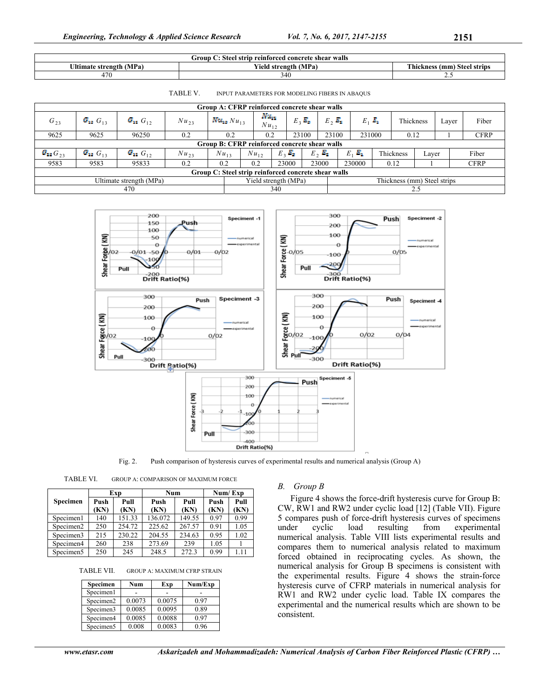| $\sim$<br>$\mathbf{J}$ roup $\mathbf{\hat{J}}$<br>reinforced (<br>e shear walls<br>Steel<br>concrete<br>strin |                                                   |                                 |  |  |  |  |  |
|---------------------------------------------------------------------------------------------------------------|---------------------------------------------------|---------------------------------|--|--|--|--|--|
| <b>Iltimate</b><br>(MPa<br>e strength                                                                         | $\mathbf{v}$<br>MPa.<br>∕ield strength (<br>. IM. | Thickness,<br>(mm) Steel strips |  |  |  |  |  |
| 47f                                                                                                           | 340                                               | <u>.</u>                        |  |  |  |  |  |

TABLE V. INPUT PARAMETERS FOR MODELING FIBERS IN ABAQUS

| Group A: CFRP reinforced concrete shear walls                                  |                   |                   |                  |                     |                                |           |                                   |               |     |             |           |       |       |             |
|--------------------------------------------------------------------------------|-------------------|-------------------|------------------|---------------------|--------------------------------|-----------|-----------------------------------|---------------|-----|-------------|-----------|-------|-------|-------------|
| $G_{23}$                                                                       | $G_{13}$ $G_{13}$ | $G_{12}$ $G_{12}$ | $Nu_{23}$        | $N u_{13} N u_{13}$ | N'a <sub>na</sub><br>$Nu_{12}$ |           | $E_2$ <sub><math>E_3</math></sub> | $E_2$ , $E_2$ |     | $E_1$ $E_2$ | Thickness |       | Layer | Fiber       |
| 9625                                                                           | 9625              | 96250             | 0.2              | 0.2                 | 0.2                            |           | 23100                             | 23100         |     | 231000      | 0.12      |       |       | <b>CFRP</b> |
| Group B: CFRP reinforced concrete shear walls                                  |                   |                   |                  |                     |                                |           |                                   |               |     |             |           |       |       |             |
| $G_{11}$ $G_{23}$                                                              | $G_{13}$ $G_{13}$ | $G_{12}$ $G_{12}$ | Nu <sub>23</sub> | $Nu_{13}$           | $Nu_{12}$                      | $E_2 E_3$ | E <sub>2</sub>                    | E.            |     | $E_1$       | Thickness | Laver |       | Fiber       |
| 9583                                                                           | 9583              | 95833             | 0.2              | 0.2                 | 0.2                            | 23000     |                                   | 23000         |     | 230000      | 0.12      |       |       | <b>CFRP</b> |
| Group C: Steel strip reinforced concrete shear walls                           |                   |                   |                  |                     |                                |           |                                   |               |     |             |           |       |       |             |
| Yield strength (MPa)<br>Ultimate strength (MPa)<br>Thickness (mm) Steel strips |                   |                   |                  |                     |                                |           |                                   |               |     |             |           |       |       |             |
|                                                                                |                   | 470               |                  |                     | 340                            |           |                                   |               | 2.5 |             |           |       |       |             |



Fig. 2. Push comparison of hysteresis curves of experimental results and numerical analysis (Group A)

| TABLE VI. | <b>GROUP A: COMPARISON OF MAXIMUM FORCE</b> |  |
|-----------|---------------------------------------------|--|
|-----------|---------------------------------------------|--|

|                       |      | Exp    | Num     |        | Num/Exp |      |  |
|-----------------------|------|--------|---------|--------|---------|------|--|
| Specimen              | Push | Pull   | Push    | Pull   | Push    | Pull |  |
|                       | (KN) | (KN)   | (KN)    | (KN)   | (KN)    | KN)  |  |
| Specimen1             | 140  | 151.33 | 136.072 | 149.55 | 0.97    | 0.99 |  |
| Specimen <sub>2</sub> | 250  | 254.72 | 225.62  | 267.57 | 0.91    | 1.05 |  |
| Specimen3             | 215  | 230.22 | 204.55  | 234.63 | 0.95    | 1.02 |  |
| Specimen4             | 260  | 238    | 273.69  | 239    | 1.05    |      |  |
| Specimen <sub>5</sub> | 250  | 245    | 248.5   | 272.3  | 0.99    | 1.11 |  |

TABLE VII. GROUP A: MAXIMUM CFRP STRAIN

| Specimen  | Num    | Exp    | Num/Exp |
|-----------|--------|--------|---------|
| Specimen1 |        |        |         |
| Specimen2 | 0.0073 | 0.0075 | 0.97    |
| Specimen3 | 0.0085 | 0.0095 | 0.89    |
| Specimen4 | 0.0085 | 0.0088 | 0.97    |
| Specimen5 | 0.008  | 0.0083 | 0.96    |

## *B. Group B*

Figure 4 shows the force-drift hysteresis curve for Group B: CW, RW1 and RW2 under cyclic load [12] (Table VII). Figure 5 compares push of force-drift hysteresis curves of specimens under cyclic load resulting from experimental numerical analysis. Table VIII lists experimental results and compares them to numerical analysis related to maximum forced obtained in reciprocating cycles. As shown, the numerical analysis for Group B specimens is consistent with the experimental results. Figure 4 shows the strain-force hysteresis curve of CFRP materials in numerical analysis for RW1 and RW2 under cyclic load. Table IX compares the experimental and the numerical results which are shown to be consistent.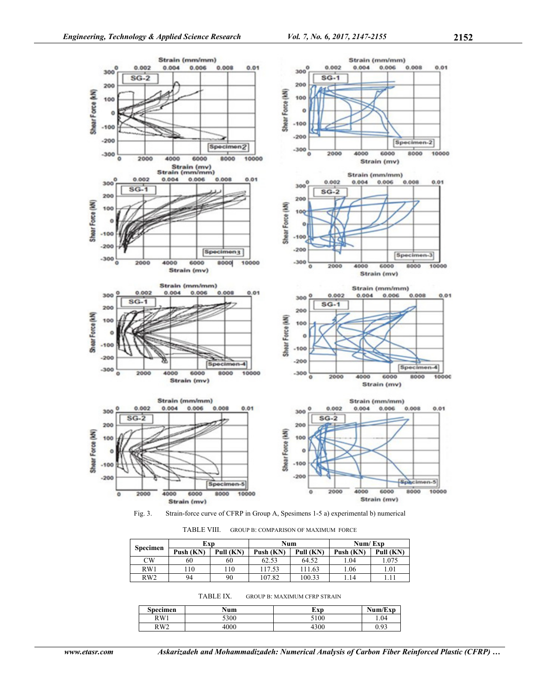

Fig. 3. Strain-force curve of CFRP in Group A, Spesimens 1-5 a) experimental b) numerical

TABLE VIII. GROUP B: COMPARISON OF MAXIMUM FORCE

|                 | Exp       |           | Num       |           | Num/Exp   |           |  |
|-----------------|-----------|-----------|-----------|-----------|-----------|-----------|--|
| <b>Specimen</b> | Push (KN) | Pull (KN) | Push (KN) | Pull (KN) | Push (KN) | Pull (KN) |  |
| $_{\rm CW}$     | 60        | 60        | 62.53     | 64.52     | 1.04      | 1.075     |  |
| RW1             | 10        | 110       | 117.53    | 111.63    | 1.06      | 1.01      |  |
| RW2             | 94        | 90        | 107.82    | 100.33    | 1.14      |           |  |

TABLE IX. GROUP B: MAXIMUM CFRP STRAIN

| Specimen        | Num  | Exp  | Num/Exp |
|-----------------|------|------|---------|
| RW1             | 5300 | 5100 | .04     |
| RW <sub>2</sub> | 4000 | 4300 | 0.93    |

*www.etasr.com Askarizadeh and Mohammadizadeh: Numerical Analysis of Carbon Fiber Reinforced Plastic (CFRP) …*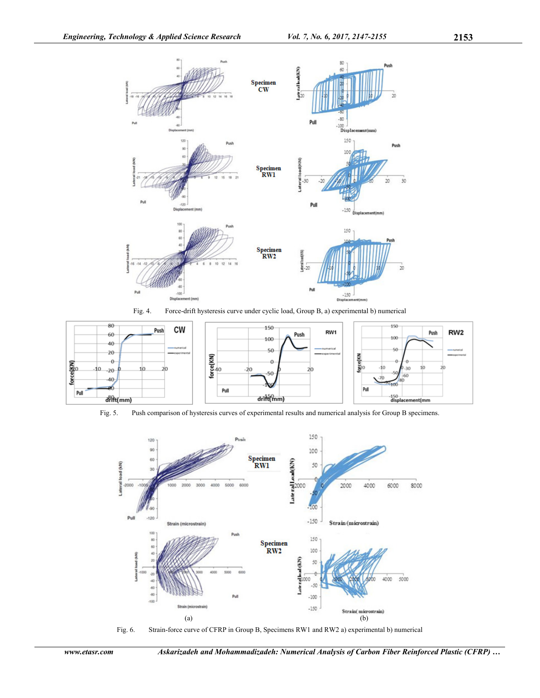





Fig. 5. Push comparison of hysteresis curves of experimental results and numerical analysis for Group B specimens.





*www.etasr.com Askarizadeh and Mohammadizadeh: Numerical Analysis of Carbon Fiber Reinforced Plastic (CFRP) …*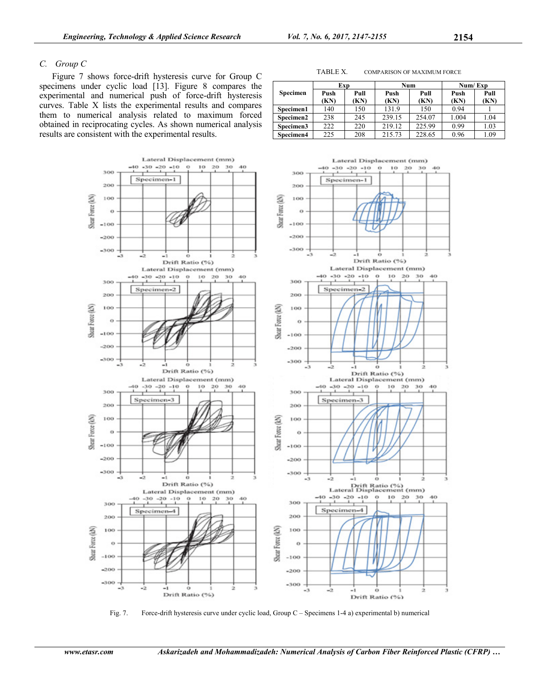# *C. Group C*

Figure 7 shows force-drift hysteresis curve for Group C specimens under cyclic load [13]. Figure 8 compares the experimental and numerical push of force-drift hysteresis curves. Table X lists the experimental results and compares them to numerical analysis related to maximum forced obtained in reciprocating cycles. As shown numerical analysis results are consistent with the experimental results.



Fig. 7. Force-drift hysteresis curve under cyclic load, Group C – Specimens 1-4 a) experimental b) numerical

| Specimen  | Exp          |             | Num          |              | Num/Exp      |              |
|-----------|--------------|-------------|--------------|--------------|--------------|--------------|
|           | Push<br>(KN) | Pull<br>KN) | Push<br>(KN) | Pull<br>(KN) | Push<br>(KN) | Pull<br>(KN) |
| Specimen1 | 140          | 150         | 131.9        | 150          | 0.94         |              |
| Specimen2 | 238          | 245         | 239.15       | 254.07       | 1.004        | 1.04         |
| Specimen3 | 222          | 220         | 219.12       | 225.99       | 0.99         | 1.03         |
| Specimen4 | 225          | 208         | 215.73       | 228.65       | 0.96         | 1.09         |